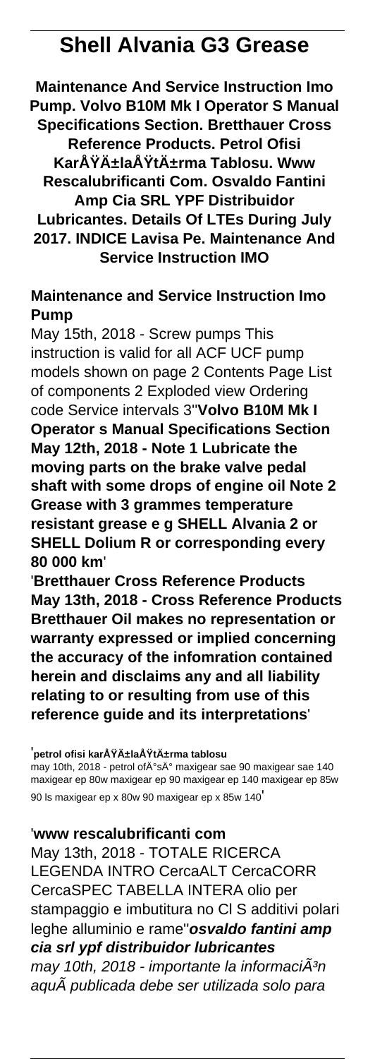# **Shell Alvania G3 Grease**

**Maintenance And Service Instruction Imo Pump. Volvo B10M Mk I Operator S Manual Specifications Section. Bretthauer Cross Reference Products. Petrol Ofisi** KarşılaÅŸtırma Tablosu. Www **Rescalubrificanti Com. Osvaldo Fantini Amp Cia SRL YPF Distribuidor Lubricantes. Details Of LTEs During July 2017. INDICE Lavisa Pe. Maintenance And Service Instruction IMO**

## **Maintenance and Service Instruction Imo Pump**

May 15th, 2018 - Screw pumps This instruction is valid for all ACF UCF pump models shown on page 2 Contents Page List of components 2 Exploded view Ordering code Service intervals 3''**Volvo B10M Mk I Operator s Manual Specifications Section May 12th, 2018 - Note 1 Lubricate the moving parts on the brake valve pedal shaft with some drops of engine oil Note 2 Grease with 3 grammes temperature resistant grease e g SHELL Alvania 2 or SHELL Dolium R or corresponding every 80 000 km**'

'**Bretthauer Cross Reference Products May 13th, 2018 - Cross Reference Products Bretthauer Oil makes no representation or warranty expressed or implied concerning the accuracy of the infomration contained herein and disclaims any and all liability relating to or resulting from use of this reference guide and its interpretations**'

#### <sup>'</sup>petrol ofisi karşılaÅŸtırma tablosu

may 10th, 2018 - petrol of İs İ maxigear sae 90 maxigear sae 140 maxigear ep 80w maxigear ep 90 maxigear ep 140 maxigear ep 85w 90 ls maxigear ep x 80w 90 maxigear ep x 85w 140'

## '**www rescalubrificanti com**

May 13th, 2018 - TOTALE RICERCA LEGENDA INTRO CercaALT CercaCORR CercaSPEC TABELLA INTERA olio per stampaggio e imbutitura no Cl S additivi polari leghe alluminio e rame''**osvaldo fantini amp cia srl ypf distribuidor lubricantes** may 10th, 2018 - importante la informaci $\tilde{A}^3$ n aquà publicada debe ser utilizada solo para